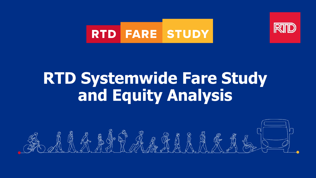



## **RTD Systemwide Fare Study and Equity Analysis**

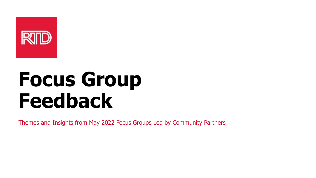

# **Focus Group Feedback**

Themes and Insights from May 2022 Focus Groups Led by Community Partners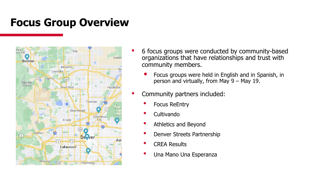#### **Focus Group Overview**



- 6 focus groups were conducted by community-based organizations that have relationships and trust with community members.
	- Focus groups were held in English and in Spanish, in person and virtually, from May 9 – May 19.
- **Community partners included:** 
	- Focus ReEntry
	- Cultivando
	- Athletics and Beyond
	- Denver Streets Partnership
	- CREA Results
	- Una Mano Una Esperanza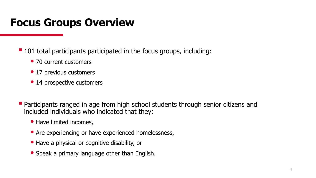#### **Focus Groups Overview**

- 101 total participants participated in the focus groups, including:
	- 70 current customers
	- 17 previous customers
	- 14 prospective customers
- Participants ranged in age from high school students through senior citizens and included individuals who indicated that they:
	- Have limited incomes,
	- Are experiencing or have experienced homelessness,
	- Have a physical or cognitive disability, or
	- Speak a primary language other than English.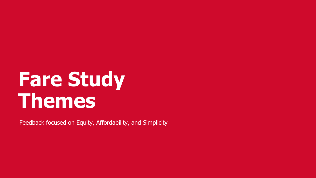# **Fare Study Themes**

Feedback focused on Equity, Affordability, and Simplicity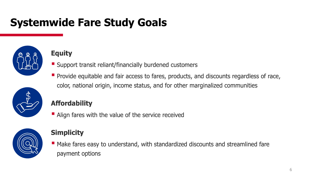#### **Systemwide Fare Study Goals**



#### **Equity**

- Support transit reliant/financially burdened customers
- Provide equitable and fair access to fares, products, and discounts regardless of race, color, national origin, income status, and for other marginalized communities



#### **Affordability**

• Align fares with the value of the service received



#### **Simplicity**

■ Make fares easy to understand, with standardized discounts and streamlined fare payment options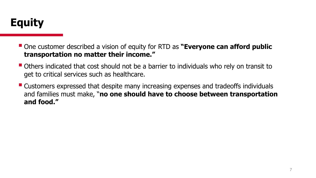

- One customer described a vision of equity for RTD as **"Everyone can afford public transportation no matter their income."**
- Others indicated that cost should not be a barrier to individuals who rely on transit to get to critical services such as healthcare.
- Customers expressed that despite many increasing expenses and tradeoffs individuals and families must make, "**no one should have to choose between transportation and food."**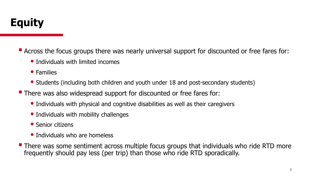■ Across the focus groups there was nearly universal support for discounted or free fares for:

- Individuals with limited incomes
- Families
- Students (including both children and youth under 18 and post-secondary students)
- There was also widespread support for discounted or free fares for:
	- Individuals with physical and cognitive disabilities as well as their caregivers
	- Individuals with mobility challenges
	- Senior citizens
	- Individuals who are homeless
- There was some sentiment across multiple focus groups that individuals who ride RTD more frequently should pay less (per trip) than those who ride RTD sporadically.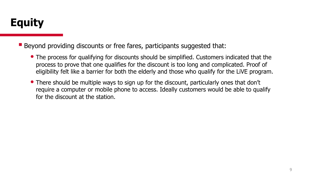#### **Equity**

■ Beyond providing discounts or free fares, participants suggested that:

- The process for qualifying for discounts should be simplified. Customers indicated that the process to prove that one qualifies for the discount is too long and complicated. Proof of eligibility felt like a barrier for both the elderly and those who qualify for the LiVE program.
- There should be multiple ways to sign up for the discount, particularly ones that don't require a computer or mobile phone to access. Ideally customers would be able to qualify for the discount at the station.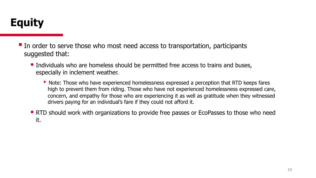#### **Equity**

■ In order to serve those who most need access to transportation, participants suggested that:

- Individuals who are homeless should be permitted free access to trains and buses, especially in inclement weather.
	- ▶ Note: Those who have experienced homelessness expressed a perception that RTD keeps fares high to prevent them from riding. Those who have not experienced homelessness expressed care, concern, and empathy for those who are experiencing it as well as gratitude when they witnessed drivers paying for an individual's fare if they could not afford it.
- RTD should work with organizations to provide free passes or EcoPasses to those who need it.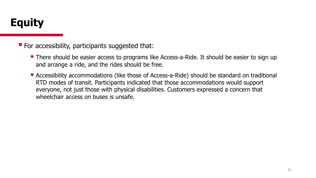#### **Equity**

■ For accessibility, participants suggested that:

- There should be easier access to programs like Access-a-Ride. It should be easier to sign up and arrange a ride, and the rides should be free.
- Accessibility accommodations (like those of Access-a-Ride) should be standard on traditional RTD modes of transit. Participants indicated that those accommodations would support everyone, not just those with physical disabilities. Customers expressed a concern that wheelchair access on buses is unsafe.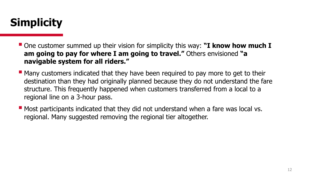### **Simplicity**

- One customer summed up their vision for simplicity this way: **"I know how much I am going to pay for where I am going to travel."** Others envisioned **"a navigable system for all riders."**
- Many customers indicated that they have been required to pay more to get to their destination than they had originally planned because they do not understand the fare structure. This frequently happened when customers transferred from a local to a regional line on a 3-hour pass.
- Most participants indicated that they did not understand when a fare was local vs. regional. Many suggested removing the regional tier altogether.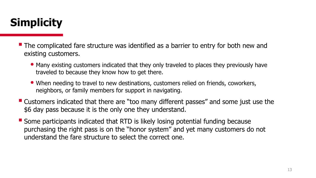## **Simplicity**

- The complicated fare structure was identified as a barrier to entry for both new and existing customers.
	- Many existing customers indicated that they only traveled to places they previously have traveled to because they know how to get there.
	- When needing to travel to new destinations, customers relied on friends, coworkers, neighbors, or family members for support in navigating.
- Customers indicated that there are "too many different passes" and some just use the \$6 day pass because it is the only one they understand.
- Some participants indicated that RTD is likely losing potential funding because purchasing the right pass is on the "honor system" and yet many customers do not understand the fare structure to select the correct one.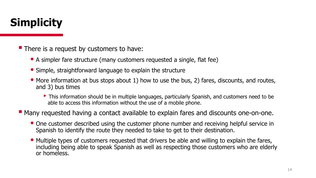## **Simplicity**

■ There is a request by customers to have:

- A simpler fare structure (many customers requested a single, flat fee)
- Simple, straightforward language to explain the structure
- More information at bus stops about 1) how to use the bus, 2) fares, discounts, and routes, and 3) bus times
	- ▶ This information should be in multiple languages, particularly Spanish, and customers need to be able to access this information without the use of a mobile phone.
- Many requested having a contact available to explain fares and discounts one-on-one.
	- One customer described using the customer phone number and receiving helpful service in Spanish to identify the route they needed to take to get to their destination.
	- Multiple types of customers requested that drivers be able and willing to explain the fares, including being able to speak Spanish as well as respecting those customers who are elderly or homeless.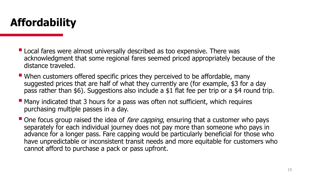### **Affordability**

- Local fares were almost universally described as too expensive. There was acknowledgment that some regional fares seemed priced appropriately because of the distance traveled.
- When customers offered specific prices they perceived to be affordable, many suggested prices that are half of what they currently are (for example, \$3 for a day pass rather than \$6). Suggestions also include a \$1 flat fee per trip or a \$4 round trip.
- Many indicated that 3 hours for a pass was often not sufficient, which requires purchasing multiple passes in a day.
- One focus group raised the idea of *fare capping*, ensuring that a customer who pays separately for each individual journey does not pay more than someone who pays in advance for a longer pass. Fare capping would be particularly beneficial for those who have unpredictable or inconsistent transit needs and more equitable for customers who cannot afford to purchase a pack or pass upfront.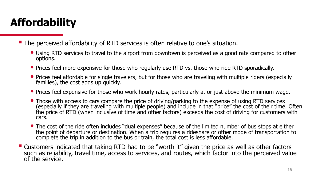## **Affordability**

■ The perceived affordability of RTD services is often relative to one's situation.

- Using RTD services to travel to the airport from downtown is perceived as a good rate compared to other options.
- Prices feel more expensive for those who regularly use RTD vs. those who ride RTD sporadically.
- Prices feel affordable for single travelers, but for those who are traveling with multiple riders (especially families), the cost adds up quickly.
- Prices feel expensive for those who work hourly rates, particularly at or just above the minimum wage.
- Those with access to cars compare the price of driving/parking to the expense of using RTD services (especially if they are traveling with multiple people) and include in that "price" the cost of their time. Often the price of RTD (when inclusive of time and other factors) exceeds the cost of driving for customers with cars.
- The cost of the ride often includes "dual expenses" because of the limited number of bus stops at either the point of departure or destination. When a trip requires a rideshare or other mode of transportation to complete the trip in addition to the bus or train, the total cost is less affordable.
- Customers indicated that taking RTD had to be "worth it" given the price as well as other factors such as reliability, travel time, access to services, and routes, which factor into the perceived value of the service.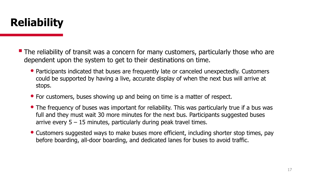

- The reliability of transit was a concern for many customers, particularly those who are dependent upon the system to get to their destinations on time.
	- Participants indicated that buses are frequently late or canceled unexpectedly. Customers could be supported by having a live, accurate display of when the next bus will arrive at stops.
	- For customers, buses showing up and being on time is a matter of respect.
	- The frequency of buses was important for reliability. This was particularly true if a bus was full and they must wait 30 more minutes for the next bus. Participants suggested buses arrive every  $5 - 15$  minutes, particularly during peak travel times.
	- Customers suggested ways to make buses more efficient, including shorter stop times, pay before boarding, all-door boarding, and dedicated lanes for buses to avoid traffic.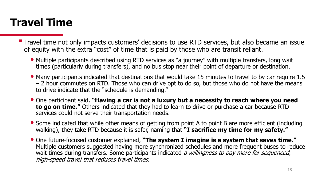#### **Travel Time**

- Travel time not only impacts customers' decisions to use RTD services, but also became an issue of equity with the extra "cost" of time that is paid by those who are transit reliant.
	- Multiple participants described using RTD services as "a journey" with multiple transfers, long wait times (particularly during transfers), and no bus stop near their point of departure or destination.
	- Many participants indicated that destinations that would take 15 minutes to travel to by car require 1.5 – 2 hour commutes on RTD. Those who can drive opt to do so, but those who do not have the means to drive indicate that the "schedule is demanding."
	- One participant said, **"Having a car is not a luxury but a necessity to reach where you need to go on time."** Others indicated that they had to learn to drive or purchase a car because RTD services could not serve their transportation needs.
	- Some indicated that while other means of getting from point A to point B are more efficient (including walking), they take RTD because it is safer, naming that **"I sacrifice my time for my safety."**
	- One future-focused customer explained, **"The system I imagine is a system that saves time."**  Multiple customers suggested having more synchronized schedules and more frequent buses to reduce wait times during transfers. Some participants indicated a willingness to pay more for sequenced, high-speed travel that reduces travel times.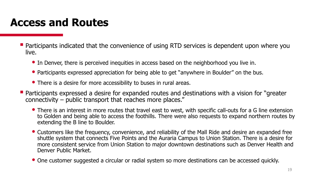#### **Access and Routes**

- Participants indicated that the convenience of using RTD services is dependent upon where you live.
	- In Denver, there is perceived inequities in access based on the neighborhood you live in.
	- Participants expressed appreciation for being able to get "anywhere in Boulder" on the bus.
	- There is a desire for more accessibility to buses in rural areas.
- Participants expressed a desire for expanded routes and destinations with a vision for "greater connectivity – public transport that reaches more places."
	- There is an interest in more routes that travel east to west, with specific call-outs for a G line extension to Golden and being able to access the foothills. There were also requests to expand northern routes by extending the B line to Boulder.
	- Customers like the frequency, convenience, and reliability of the Mall Ride and desire an expanded free shuttle system that connects Five Points and the Auraria Campus to Union Station. There is a desire for more consistent service from Union Station to major downtown destinations such as Denver Health and Denver Public Market.
	- One customer suggested a circular or radial system so more destinations can be accessed quickly.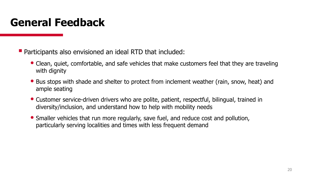#### **General Feedback**

**• Participants also envisioned an ideal RTD that included:** 

- Clean, quiet, comfortable, and safe vehicles that make customers feel that they are traveling with dignity
- Bus stops with shade and shelter to protect from inclement weather (rain, snow, heat) and ample seating
- Customer service-driven drivers who are polite, patient, respectful, bilingual, trained in diversity/inclusion, and understand how to help with mobility needs
- Smaller vehicles that run more regularly, save fuel, and reduce cost and pollution, particularly serving localities and times with less frequent demand